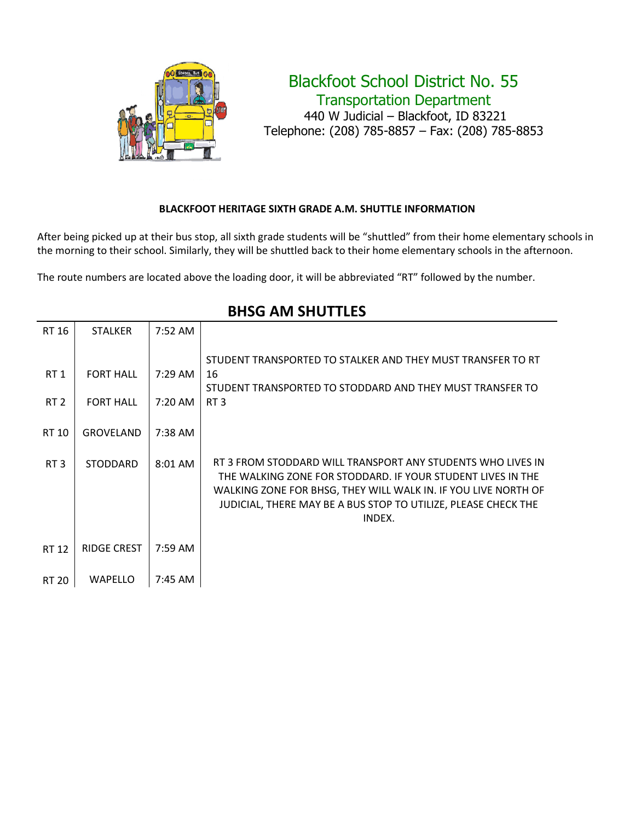

## Blackfoot School District No. 55 Transportation Department 440 W Judicial – Blackfoot, ID 83221 Telephone: (208) 785-8857 – Fax: (208) 785-8853

#### **BLACKFOOT HERITAGE SIXTH GRADE A.M. SHUTTLE INFORMATION**

After being picked up at their bus stop, all sixth grade students will be "shuttled" from their home elementary schools in the morning to their school. Similarly, they will be shuttled back to their home elementary schools in the afternoon.

The route numbers are located above the loading door, it will be abbreviated "RT" followed by the number.

| RT 16                                       | <b>STALKER</b>                                           | 7:52 AM                                           |                                                                                                                                                                                                                                                                          |
|---------------------------------------------|----------------------------------------------------------|---------------------------------------------------|--------------------------------------------------------------------------------------------------------------------------------------------------------------------------------------------------------------------------------------------------------------------------|
| RT <sub>1</sub><br>RT <sub>2</sub><br>RT 10 | <b>FORT HALL</b><br><b>FORT HALL</b><br><b>GROVELAND</b> | $7:29 \text{ AM}$<br>7:20 AM<br>$7:38 \text{ AM}$ | STUDENT TRANSPORTED TO STALKER AND THEY MUST TRANSFER TO RT<br>16<br>STUDENT TRANSPORTED TO STODDARD AND THEY MUST TRANSFER TO<br>RT <sub>3</sub>                                                                                                                        |
| RT <sub>3</sub>                             | <b>STODDARD</b>                                          | 8:01 AM                                           | RT 3 FROM STODDARD WILL TRANSPORT ANY STUDENTS WHO LIVES IN<br>THE WALKING ZONE FOR STODDARD. IF YOUR STUDENT LIVES IN THE<br>WALKING ZONE FOR BHSG, THEY WILL WALK IN. IF YOU LIVE NORTH OF<br>JUDICIAL, THERE MAY BE A BUS STOP TO UTILIZE, PLEASE CHECK THE<br>INDEX. |
| RT 12                                       | <b>RIDGE CREST</b>                                       | $7:59$ AM                                         |                                                                                                                                                                                                                                                                          |
| RT 20                                       | <b>WAPELLO</b>                                           | 7:45 AM                                           |                                                                                                                                                                                                                                                                          |

### **BHSG AM SHUTTLES**